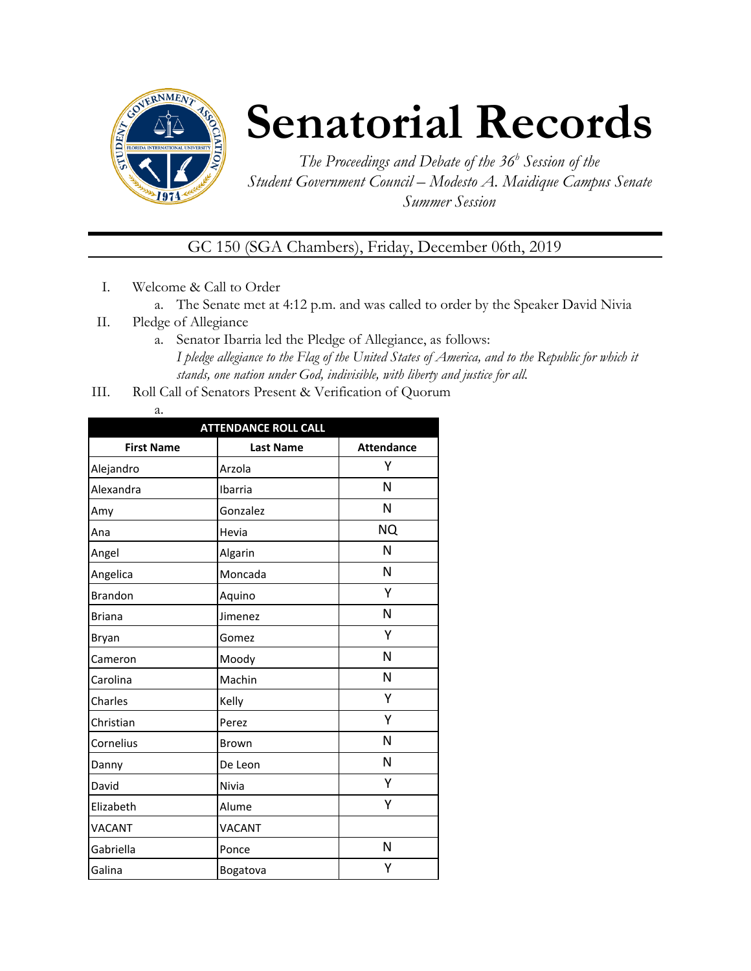

## **Senatorial Records**

*The Proceedings and Debate of the 36 <sup>h</sup> Session of the Student Government Council – Modesto A. Maidique Campus Senate Summer Session*

GC 150 (SGA Chambers), Friday, December 06th, 2019

- I. Welcome & Call to Order
	- a. The Senate met at 4:12 p.m. and was called to order by the Speaker David Nivia
- II. Pledge of Allegiance
	- a. Senator Ibarria led the Pledge of Allegiance, as follows: *I pledge allegiance to the Flag of the United States of America, and to the Republic for which it stands, one nation under God, indivisible, with liberty and justice for all.*
- III. Roll Call of Senators Present & Verification of Quorum
	- a.

| <b>ATTENDANCE ROLL CALL</b> |                  |                   |  |
|-----------------------------|------------------|-------------------|--|
| <b>First Name</b>           | <b>Last Name</b> | <b>Attendance</b> |  |
| Alejandro                   | Arzola           | Υ                 |  |
| Alexandra                   | Ibarria          | N                 |  |
| Amy                         | Gonzalez         | N                 |  |
| Ana                         | Hevia            | <b>NQ</b>         |  |
| Angel                       | Algarin          | N                 |  |
| Angelica                    | Moncada          | N                 |  |
| <b>Brandon</b>              | Aquino           | Υ                 |  |
| <b>Briana</b>               | Jimenez          | N                 |  |
| Bryan                       | Gomez            | Υ                 |  |
| Cameron                     | Moody            | N                 |  |
| Carolina                    | Machin           | N                 |  |
| Charles                     | Kelly            | Υ                 |  |
| Christian                   | Perez            | Υ                 |  |
| Cornelius                   | <b>Brown</b>     | N                 |  |
| Danny                       | De Leon          | N                 |  |
| David                       | Nivia            | Υ                 |  |
| Elizabeth                   | Alume            | Υ                 |  |
| <b>VACANT</b>               | VACANT           |                   |  |
| Gabriella                   | Ponce            | N                 |  |
| Galina                      | Bogatova         | Υ                 |  |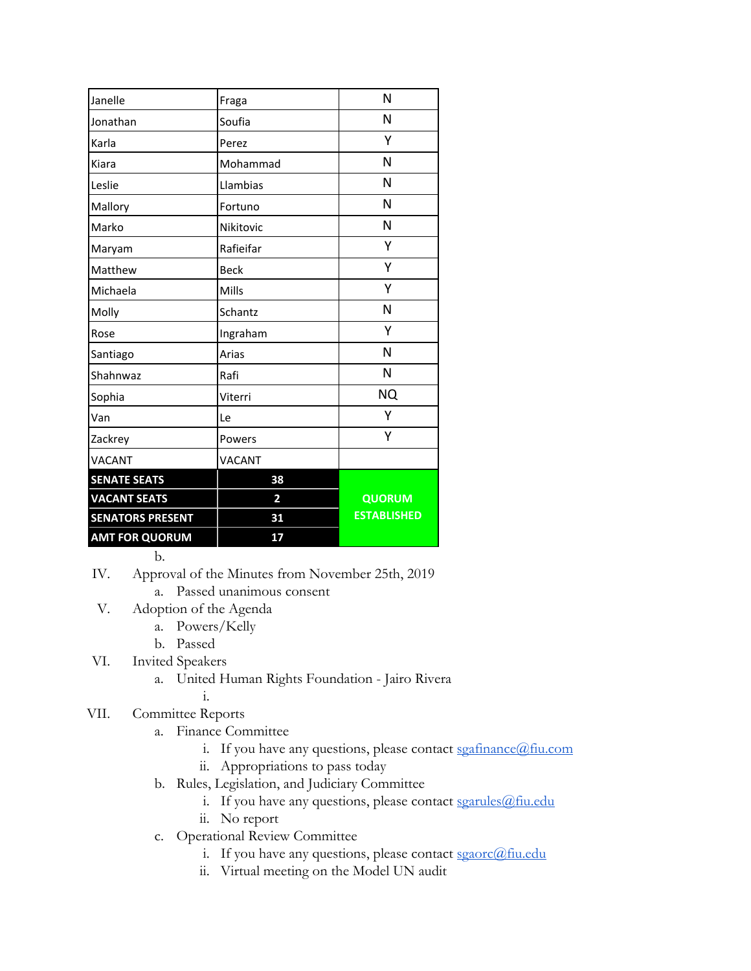| Janelle                 | Fraga          | N                  |
|-------------------------|----------------|--------------------|
| Jonathan                | Soufia         | N                  |
| Karla                   | Perez          | Υ                  |
| Kiara                   | Mohammad       | N                  |
| Leslie                  | Llambias       | N                  |
| Mallory                 | Fortuno        | N                  |
| Marko                   | Nikitovic      | N                  |
| Maryam                  | Rafieifar      | Υ                  |
| Matthew                 | <b>Beck</b>    | Υ                  |
| Michaela                | Mills          | Υ                  |
| Molly                   | Schantz        | N                  |
| Rose                    | Ingraham       | Υ                  |
| Santiago                | Arias          | N                  |
| Shahnwaz                | Rafi           | N                  |
| Sophia                  | Viterri        | <b>NQ</b>          |
| Van                     | Le             | Υ                  |
| Zackrey                 | Powers         | Υ                  |
| <b>VACANT</b>           | <b>VACANT</b>  |                    |
| <b>SENATE SEATS</b>     | 38             |                    |
| <b>VACANT SEATS</b>     | $\overline{2}$ | <b>QUORUM</b>      |
| <b>SENATORS PRESENT</b> | 31             | <b>ESTABLISHED</b> |
| <b>AMT FOR QUORUM</b>   | 17             |                    |

b.

IV. Approval of the Minutes from November 25th, 2019

a. Passed unanimous consent

- V. Adoption of the Agenda
	- a. Powers/Kelly
	- b. Passed
- VI. Invited Speakers
	- a. United Human Rights Foundation Jairo Rivera i.

## VII. Committee Reports

- a. Finance Committee
	- i. If you have any questions, please contact [sgafinance@fiu.com](mailto:sgafinance@fiu.com)
	- ii. Appropriations to pass today
- b. Rules, Legislation, and Judiciary Committee
	- i. If you have any questions, please contact [sgarules@fiu.edu](mailto:sgarules@fiu.edu)
	- ii. No report
- c. Operational Review Committee
	- i. If you have any questions, please contact [sgaorc@fiu.edu](mailto:sgaorc@fiu.edu)
	- ii. Virtual meeting on the Model UN audit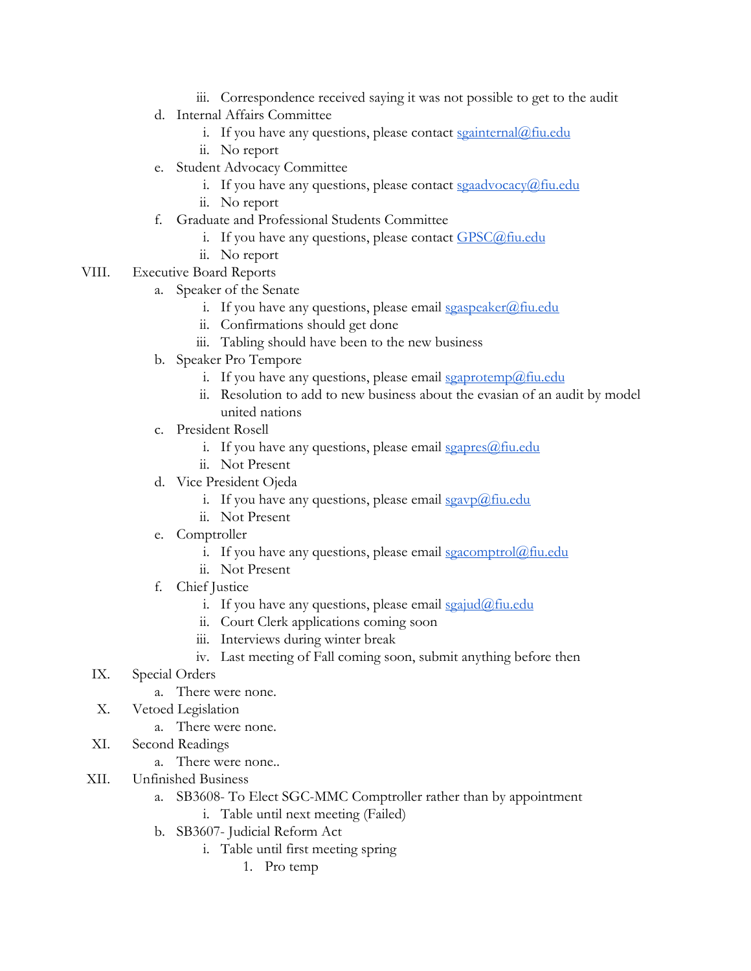- iii. Correspondence received saying it was not possible to get to the audit
- d. Internal Affairs Committee
	- i. If you have any questions, please contact [sgainternal@fiu.edu](mailto:sgainternal@fiu.edu)
	- ii. No report
- e. Student Advocacy Committee
	- i. If you have any questions, please contact  $sgaadvocacy@$  fiu.edu
	- ii. No report
- f. Graduate and Professional Students Committee
	- i. If you have any questions, please contact  $GPSC@$  fiu.edu
	- ii. No report
- VIII. Executive Board Reports
	- a. Speaker of the Senate
		- i. If you have any questions, please email  $s_{gas}$  peaker $@$ fiu.edu
		- ii. Confirmations should get done
		- iii. Tabling should have been to the new business
	- b. Speaker Pro Tempore
		- i. If you have any questions, please email [sgaprotemp@fiu.edu](mailto:sgaprotemp@fiu.edu)
		- ii. Resolution to add to new business about the evasian of an audit by model united nations
	- c. President Rosell
		- i. If you have any questions, please email  $sgapses@$ fiu.edu
		- ii. Not Present
	- d. Vice President Ojeda
		- i. If you have any questions, please email  $sgavp(\omega)$  fiu.edu
		- ii. Not Present
	- e. Comptroller
		- i. If you have any questions, please email  $sgacomptrol@final$
		- ii. Not Present
	- f. Chief Justice
		- i. If you have any questions, please email  $\frac{\sigma}{\sigma}$  in  $\frac{\sigma}{\sigma}$
		- ii. Court Clerk applications coming soon
		- iii. Interviews during winter break
		- iv. Last meeting of Fall coming soon, submit anything before then
	- IX. Special Orders
		- a. There were none.
	- X. Vetoed Legislation
		- a. There were none.
	- XI. Second Readings
		- a. There were none..
- XII. Unfinished Business
	- a. SB3608- To Elect SGC-MMC Comptroller rather than by appointment
		- i. Table until next meeting (Failed)
	- b. SB3607- Judicial Reform Act
		- i. Table until first meeting spring
			- 1. Pro temp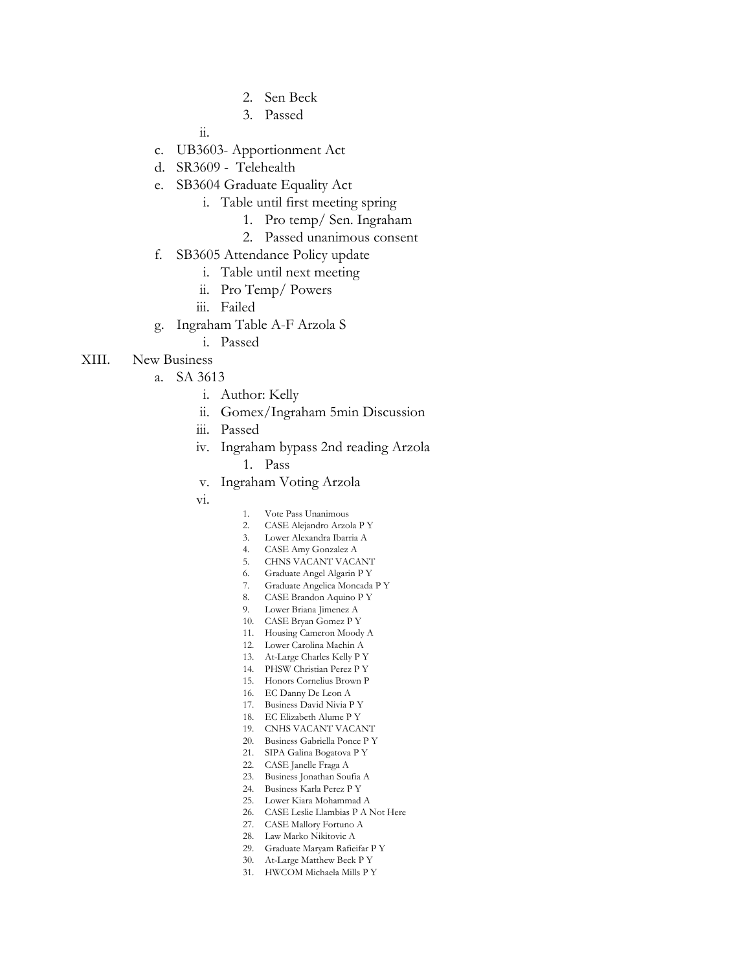- 2. Sen Beck
- 3. Passed

ii.

- c. UB3603- Apportionment Act
- d. SR3609 Telehealth
- e. SB3604 Graduate Equality Act
	- i. Table until first meeting spring
		- 1. Pro temp/ Sen. Ingraham
		- 2. Passed unanimous consent
- f. SB3605 Attendance Policy update
	- i. Table until next meeting
	- ii. Pro Temp/ Powers
	- iii. Failed
- g. Ingraham Table A-F Arzola S
	- i. Passed

## XIII. New Business

- a. SA 3613
	- i. Author: Kelly
	- ii. Gomex/Ingraham 5min Discussion
	- iii. Passed
	- iv. Ingraham bypass 2nd reading Arzola

1. Pass

- v. Ingraham Voting Arzola
- vi.
- 1. Vote Pass Unanimous
- 2. CASE Alejandro Arzola P Y
- 3. Lower Alexandra Ibarria A
- 4. CASE Amy Gonzalez A
- 5. CHNS VACANT VACANT 6. Graduate Angel Algarin P Y
- 7. Graduate Angelica Moncada P Y
- 8. CASE Brandon Aquino P Y
- 9. Lower Briana Jimenez A
- 10. CASE Bryan Gomez P Y
- 11. Housing Cameron Moody A
- 12. Lower Carolina Machin A
- 13. At-Large Charles Kelly P Y
- 14. PHSW Christian Perez P Y
- 15. Honors Cornelius Brown P
- 16. EC Danny De Leon A
- 17. Business David Nivia P Y
- 18. EC Elizabeth Alume P Y
- 19. CNHS VACANT VACANT
- 20. Business Gabriella Ponce P Y 21. SIPA Galina Bogatova P Y
- 22. CASE Janelle Fraga A
- 23. Business Jonathan Soufia A
- 24. Business Karla Perez P Y
- 25. Lower Kiara Mohammad A
- 26. CASE Leslie Llambias P A Not Here
- 27. CASE Mallory Fortuno A
- 28. Law Marko Nikitovic A
- 29. Graduate Maryam Rafieifar P Y
- 30. At-Large Matthew Beck P Y
- 31. HWCOM Michaela Mills P Y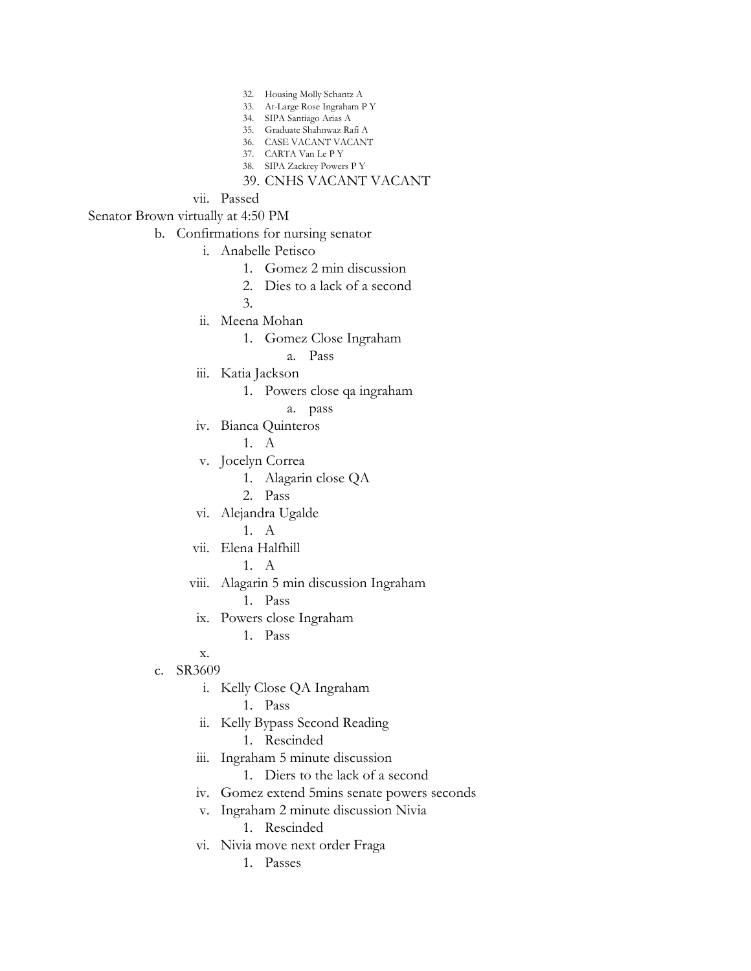- 32. Housing Molly Schantz A
- 33. At-Large Rose Ingraham P Y
- 34. SIPA Santiago Arias A
- 35. Graduate Shahnwaz Rafi A 36. CASE VACANT VACANT
- 37. CARTA Van Le P Y
- 38. SIPA Zackrey Powers P Y
- 39. CNHS VACANT VACANT
- vii. Passed

Senator Brown virtually at 4:50 PM

b. Confirmations for nursing senator

- i. Anabelle Petisco
	- 1. Gomez 2 min discussion
	- 2. Dies to a lack of a second

3.

- ii. Meena Mohan
	- 1. Gomez Close Ingraham
		- a. Pass
- iii. Katia Jackson
	- 1. Powers close qa ingraham
		- a. pass
- iv. Bianca Quinteros

1. A

- v. Jocelyn Correa
	- 1. Alagarin close QA
	- 2. Pass
- vi. Alejandra Ugalde

1. A

- vii. Elena Halfhill
	- 1. A
- viii. Alagarin 5 min discussion Ingraham 1. Pass
	- ix. Powers close Ingraham
		- 1. Pass

x.

## c. SR3609

- i. Kelly Close QA Ingraham
	- 1. Pass
- ii. Kelly Bypass Second Reading
	- 1. Rescinded
- iii. Ingraham 5 minute discussion
	- 1. Diers to the lack of a second
- iv. Gomez extend 5mins senate powers seconds
- v. Ingraham 2 minute discussion Nivia
	- 1. Rescinded
- vi. Nivia move next order Fraga
	- 1. Passes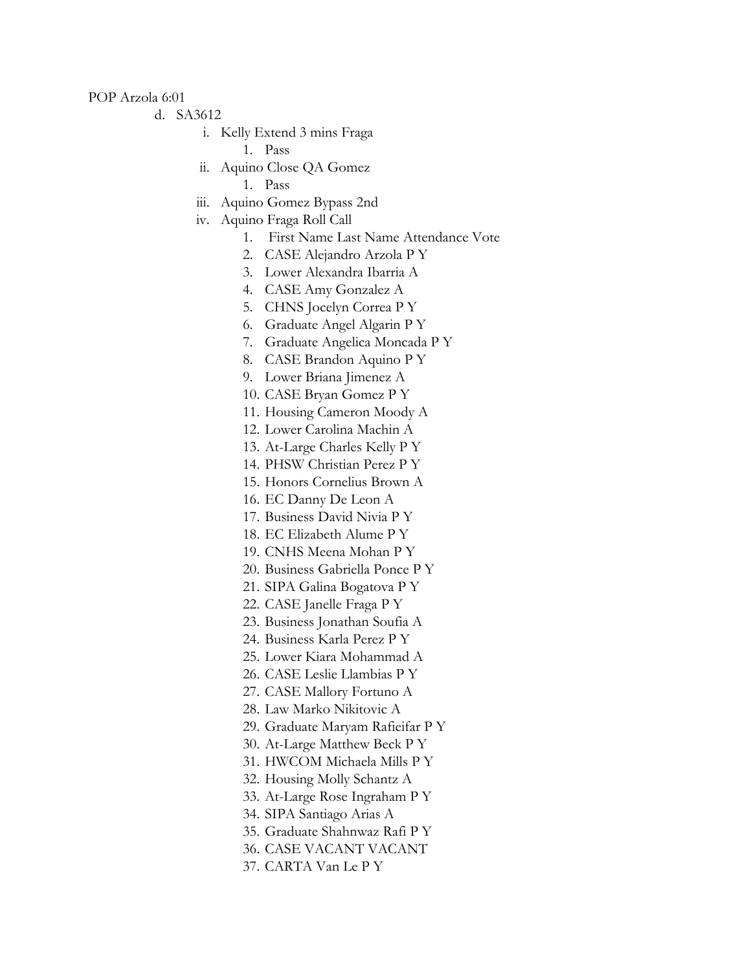POP Arzola 6:01

- d. SA3612
	- i. Kelly Extend 3 mins Fraga
		- 1. Pass
	- ii. Aquino Close QA Gomez
		- 1. Pass
	- iii. Aquino Gomez Bypass 2nd
	- iv. Aquino Fraga Roll Call
		- 1. First Name Last Name Attendance Vote
		- 2. CASE Alejandro Arzola P Y
		- 3. Lower Alexandra Ibarria A
		- 4. CASE Amy Gonzalez A
		- 5. CHNS Jocelyn Correa P Y
		- 6. Graduate Angel Algarin P Y
		- 7. Graduate Angelica Moncada P Y
		- 8. CASE Brandon Aquino P Y
		- 9. Lower Briana Jimenez A
		- 10. CASE Bryan Gomez P Y
		- 11. Housing Cameron Moody A
		- 12. Lower Carolina Machin A
		- 13. At-Large Charles Kelly P Y
		- 14. PHSW Christian Perez P Y
		- 15. Honors Cornelius Brown A
		- 16. EC Danny De Leon A
		- 17. Business David Nivia P Y
		- 18. EC Elizabeth Alume P Y
		- 19. CNHS Meena Mohan P Y
		- 20. Business Gabriella Ponce P Y
		- 21. SIPA Galina Bogatova P Y
		- 22. CASE Janelle Fraga P Y
		- 23. Business Jonathan Soufia A
		- 24. Business Karla Perez P Y
		- 25. Lower Kiara Mohammad A
		- 26. CASE Leslie Llambias P Y
		- 27. CASE Mallory Fortuno A
		- 28. Law Marko Nikitovic A
		- 29. Graduate Maryam Rafieifar P Y
		- 30. At-Large Matthew Beck P Y
		- 31. HWCOM Michaela Mills P Y
		- 32. Housing Molly Schantz A
		- 33. At-Large Rose Ingraham P Y
		- 34. SIPA Santiago Arias A
		- 35. Graduate Shahnwaz Rafi P Y
		- 36. CASE VACANT VACANT
		- 37. CARTA Van Le P Y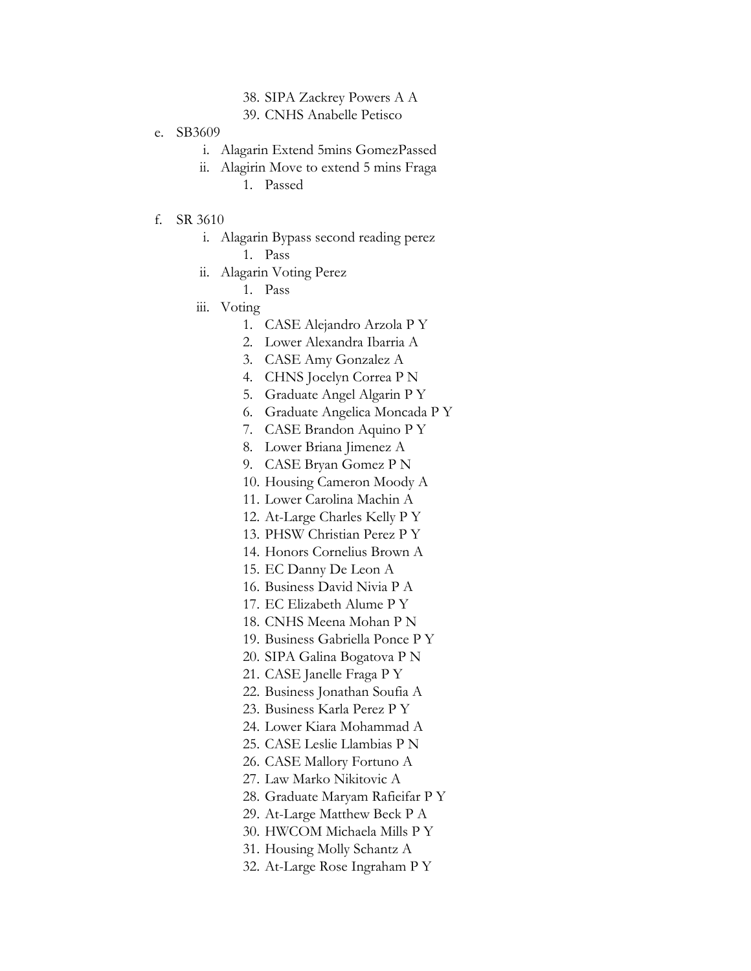- 38. SIPA Zackrey Powers A A
- 39. CNHS Anabelle Petisco
- e. SB3609
	- i. Alagarin Extend 5mins GomezPassed
	- ii. Alagirin Move to extend 5 mins Fraga
		- 1. Passed
- f. SR 3610
	- i. Alagarin Bypass second reading perez
		- 1. Pass
	- ii. Alagarin Voting Perez
		- 1. Pass
	- iii. Voting
		- 1. CASE Alejandro Arzola P Y
		- 2. Lower Alexandra Ibarria A
		- 3. CASE Amy Gonzalez A
		- 4. CHNS Jocelyn Correa P N
		- 5. Graduate Angel Algarin P Y
		- 6. Graduate Angelica Moncada P Y
		- 7. CASE Brandon Aquino P Y
		- 8. Lower Briana Jimenez A
		- 9. CASE Bryan Gomez P N
		- 10. Housing Cameron Moody A
		- 11. Lower Carolina Machin A
		- 12. At-Large Charles Kelly P Y
		- 13. PHSW Christian Perez P Y
		- 14. Honors Cornelius Brown A
		- 15. EC Danny De Leon A
		- 16. Business David Nivia P A
		- 17. EC Elizabeth Alume P Y
		- 18. CNHS Meena Mohan P N
		- 19. Business Gabriella Ponce P Y
		- 20. SIPA Galina Bogatova P N
		- 21. CASE Janelle Fraga P Y
		- 22. Business Jonathan Soufia A
		- 23. Business Karla Perez P Y
		- 24. Lower Kiara Mohammad A
		- 25. CASE Leslie Llambias P N
		- 26. CASE Mallory Fortuno A
		- 27. Law Marko Nikitovic A
		- 28. Graduate Maryam Rafieifar P Y
		- 29. At-Large Matthew Beck P A
		- 30. HWCOM Michaela Mills P Y
		- 31. Housing Molly Schantz A
		- 32. At-Large Rose Ingraham P Y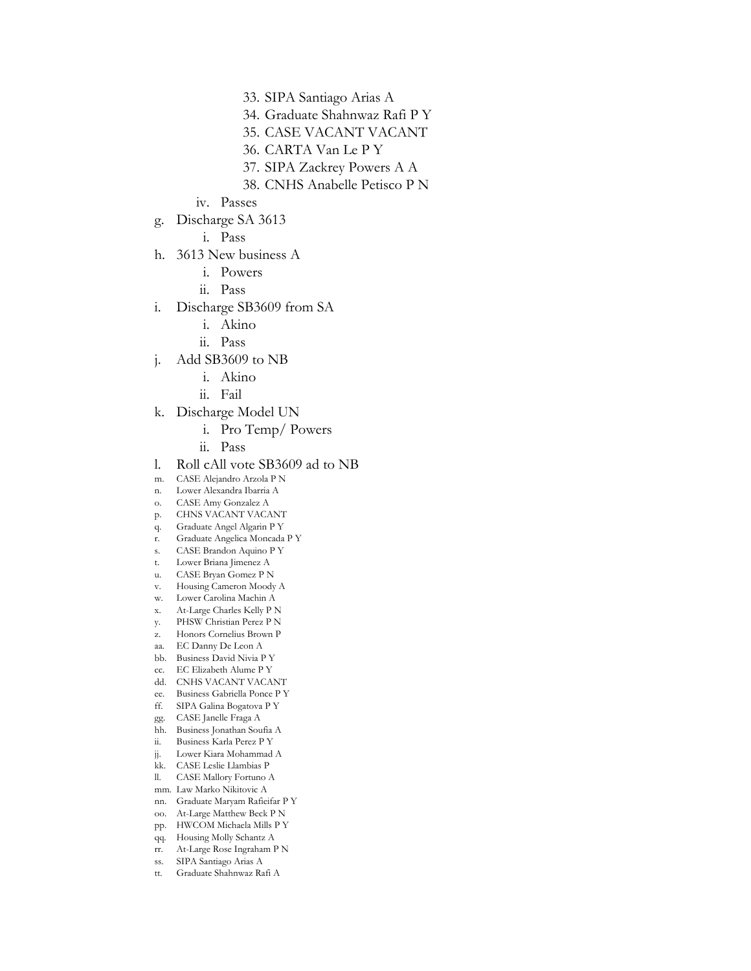- 33. SIPA Santiago Arias A
- 34. Graduate Shahnwaz Rafi P Y
- 35. CASE VACANT VACANT
- 36. CARTA Van Le P Y
- 37. SIPA Zackrey Powers A A
- 38. CNHS Anabelle Petisco P N
- iv. Passes
- g. Discharge SA 3613
	- i. Pass
- h. 3613 New business A
	- i. Powers
	- ii. Pass
- i. Discharge SB3609 from SA
	- i. Akino
	- ii. Pass
- j. Add SB3609 to NB
	- i. Akino
	- ii. Fail
- k. Discharge Model UN
	- i. Pro Temp/ Powers
	- ii. Pass
- l. Roll cAll vote SB3609 ad to NB
- m. CASE Alejandro Arzola P N
- n. Lower Alexandra Ibarria A
- o. CASE Amy Gonzalez A
- p. CHNS VACANT VACANT
- q. Graduate Angel Algarin P Y
- r. Graduate Angelica Moncada P Y
- s. CASE Brandon Aquino P Y
- t. Lower Briana Jimenez A u. CASE Bryan Gomez P N
- v. Housing Cameron Moody A
- w. Lower Carolina Machin A
- x. At-Large Charles Kelly P N
- y. PHSW Christian Perez P N
- z. Honors Cornelius Brown P
- aa. EC Danny De Leon A
- bb. Business David Nivia P Y
- cc. EC Elizabeth Alume P Y
- dd. CNHS VACANT VACANT
- ee. Business Gabriella Ponce P Y
- ff. SIPA Galina Bogatova P Y
- gg. CASE Janelle Fraga A
- hh. Business Jonathan Soufia A
- ii. Business Karla Perez P Y
- jj. Lower Kiara Mohammad A
- kk. CASE Leslie Llambias P
- ll. CASE Mallory Fortuno A
- mm. Law Marko Nikitovic A
- nn. Graduate Maryam Rafieifar P Y oo. At-Large Matthew Beck P N
- pp. HWCOM Michaela Mills P Y
- 
- qq. Housing Molly Schantz A rr. At-Large Rose Ingraham P N
- ss. SIPA Santiago Arias A
- tt. Graduate Shahnwaz Rafi A